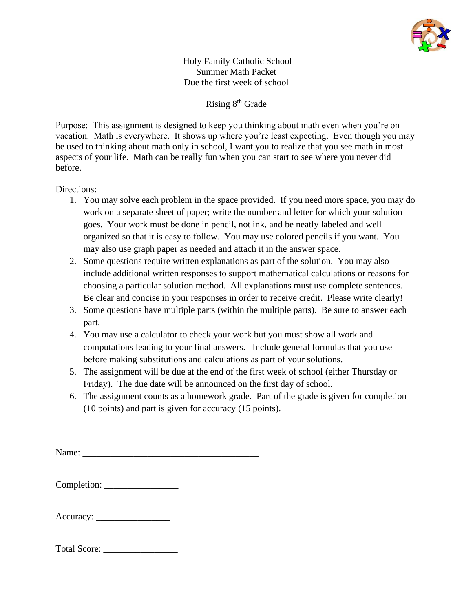

Holy Family Catholic School Summer Math Packet Due the first week of school

Rising 8th Grade

Purpose: This assignment is designed to keep you thinking about math even when you're on vacation. Math is everywhere. It shows up where you're least expecting. Even though you may be used to thinking about math only in school, I want you to realize that you see math in most aspects of your life. Math can be really fun when you can start to see where you never did before.

## Directions:

- 1. You may solve each problem in the space provided. If you need more space, you may do work on a separate sheet of paper; write the number and letter for which your solution goes. Your work must be done in pencil, not ink, and be neatly labeled and well organized so that it is easy to follow. You may use colored pencils if you want. You may also use graph paper as needed and attach it in the answer space.
- 2. Some questions require written explanations as part of the solution. You may also include additional written responses to support mathematical calculations or reasons for choosing a particular solution method. All explanations must use complete sentences. Be clear and concise in your responses in order to receive credit. Please write clearly!
- 3. Some questions have multiple parts (within the multiple parts). Be sure to answer each part.
- 4. You may use a calculator to check your work but you must show all work and computations leading to your final answers. Include general formulas that you use before making substitutions and calculations as part of your solutions.
- 5. The assignment will be due at the end of the first week of school (either Thursday or Friday). The due date will be announced on the first day of school.
- 6. The assignment counts as a homework grade. Part of the grade is given for completion (10 points) and part is given for accuracy (15 points).

Name: \_\_\_\_\_\_\_\_\_\_\_\_\_\_\_\_\_\_\_\_\_\_\_\_\_\_\_\_\_\_\_\_\_\_\_\_\_\_

| Completion: |  |
|-------------|--|
|-------------|--|

| Accuracy: |  |
|-----------|--|
|-----------|--|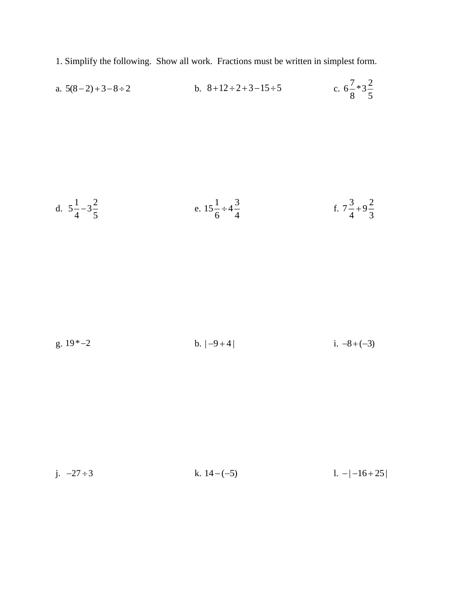1. Simplify the following. Show all work. Fractions must be written in simplest form.

a. 
$$
5(8-2)+3-8\div 2
$$
 b.  $8+12\div 2+3-15\div 5$  c.  $6\frac{7}{8} \times 3\frac{2}{5}$ 

d. 
$$
5\frac{1}{4} - 3\frac{2}{5}
$$
 \t\t e.  $15\frac{1}{6} \div 4\frac{3}{4}$  \t\t f.  $7\frac{3}{4} + 9\frac{2}{3}$ 

g. 19\* <sup>2</sup><sup>−</sup> b. | 9 4 | <sup>−</sup> <sup>+</sup> i. +<sup>−</sup> 8 ( 3)

j. 
$$
-27 \div 3
$$
 k.  $14 - (-5)$  l.  $-|-16 + 25|$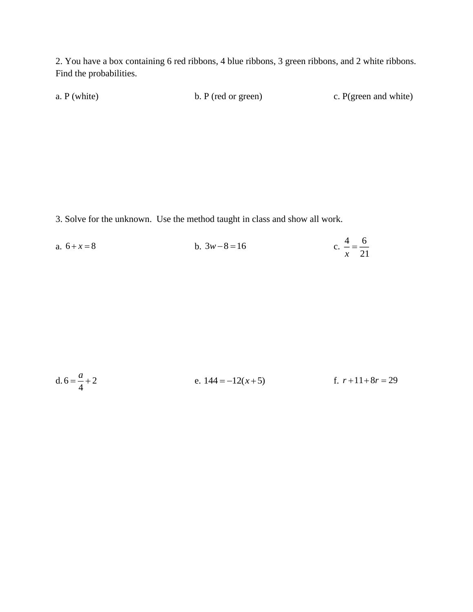2. You have a box containing 6 red ribbons, 4 blue ribbons, 3 green ribbons, and 2 white ribbons. Find the probabilities.

a. P (white) b. P (red or green) c. P (green and white)

3. Solve for the unknown. Use the method taught in class and show all work.

a.  $6 + x = 8$  $b. 3w-8=16$ c.  $\frac{4}{1} = \frac{6}{1}$  $\frac{x}{1} = \frac{1}{21}$ 

d. 6 2 4 *a* = + e. 144 12( 5) <sup>=</sup> <sup>−</sup> <sup>+</sup>*<sup>x</sup>* f. *<sup>r</sup> <sup>r</sup>* + + <sup>=</sup> 11 8 29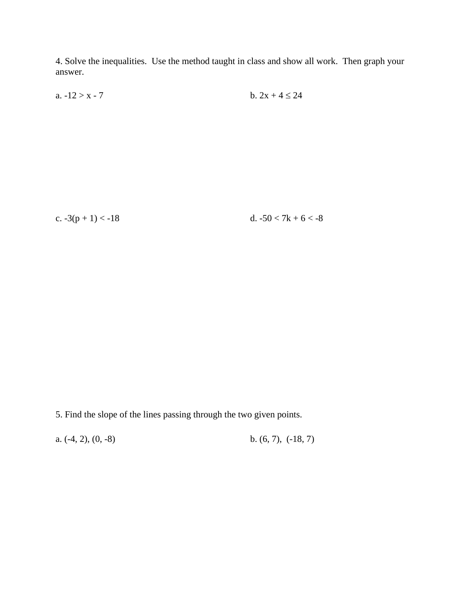4. Solve the inequalities. Use the method taught in class and show all work. Then graph your answer.

a.  $-12 > x - 7$  b.  $2x + 4 \le 24$ 

c.  $-3(p + 1) < -18$  d.  $-50 < 7k + 6 < -8$ 

5. Find the slope of the lines passing through the two given points.

a.  $(-4, 2), (0, -8)$  b.  $(6, 7), (-18, 7)$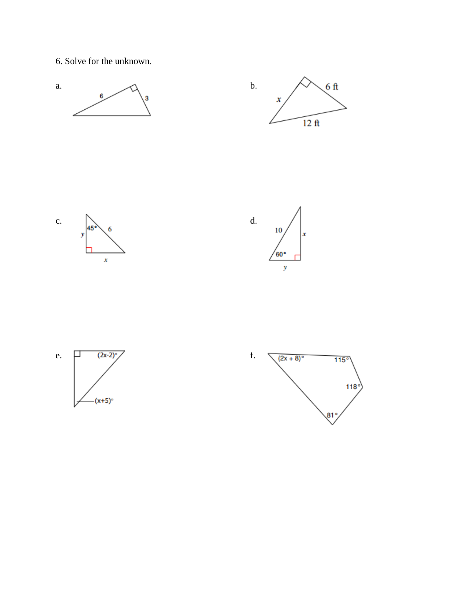6. Solve for the unknown.









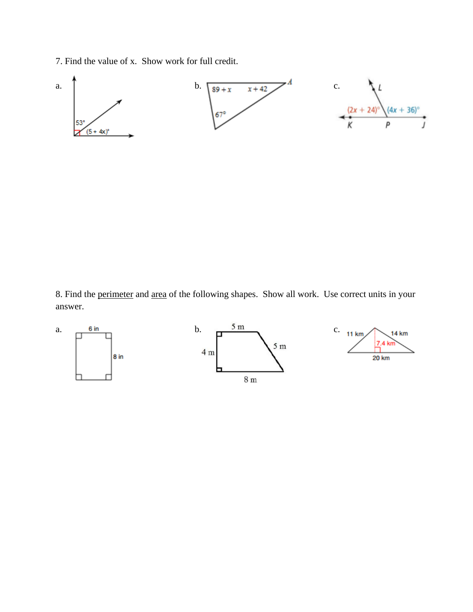7. Find the value of x. Show work for full credit.



8. Find the perimeter and area of the following shapes. Show all work. Use correct units in your answer.

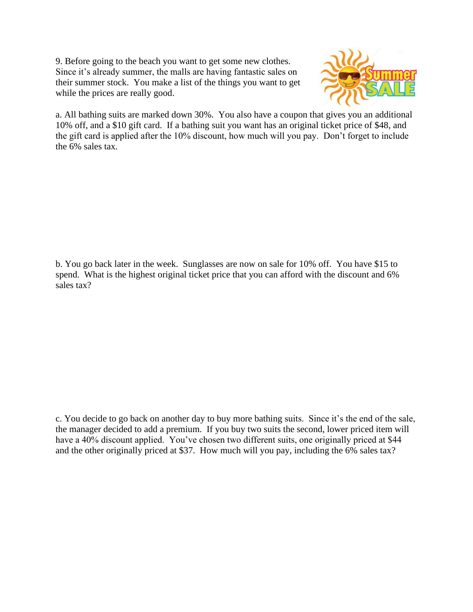9. Before going to the beach you want to get some new clothes. Since it's already summer, the malls are having fantastic sales on their summer stock. You make a list of the things you want to get while the prices are really good.



a. All bathing suits are marked down 30%. You also have a coupon that gives you an additional 10% off, and a \$10 gift card. If a bathing suit you want has an original ticket price of \$48, and the gift card is applied after the 10% discount, how much will you pay. Don't forget to include the 6% sales tax.

b. You go back later in the week. Sunglasses are now on sale for 10% off. You have \$15 to spend. What is the highest original ticket price that you can afford with the discount and 6% sales tax?

c. You decide to go back on another day to buy more bathing suits. Since it's the end of the sale, the manager decided to add a premium. If you buy two suits the second, lower priced item will have a 40% discount applied. You've chosen two different suits, one originally priced at \$44 and the other originally priced at \$37. How much will you pay, including the 6% sales tax?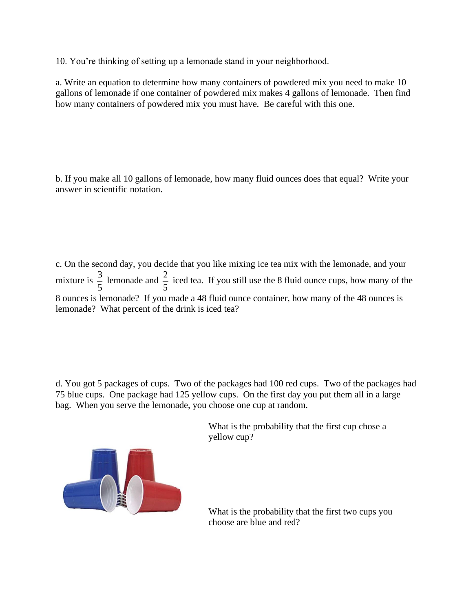10. You're thinking of setting up a lemonade stand in your neighborhood.

a. Write an equation to determine how many containers of powdered mix you need to make 10 gallons of lemonade if one container of powdered mix makes 4 gallons of lemonade. Then find how many containers of powdered mix you must have. Be careful with this one.

b. If you make all 10 gallons of lemonade, how many fluid ounces does that equal? Write your answer in scientific notation.

c. On the second day, you decide that you like mixing ice tea mix with the lemonade, and your mixture is  $\frac{3}{5}$  $\frac{3}{5}$  lemonade and  $\frac{2}{5}$  $\frac{2}{5}$  iced tea. If you still use the 8 fluid ounce cups, how many of the 8 ounces is lemonade? If you made a 48 fluid ounce container, how many of the 48 ounces is lemonade? What percent of the drink is iced tea?

d. You got 5 packages of cups. Two of the packages had 100 red cups. Two of the packages had 75 blue cups. One package had 125 yellow cups. On the first day you put them all in a large bag. When you serve the lemonade, you choose one cup at random.



What is the probability that the first cup chose a yellow cup?

What is the probability that the first two cups you choose are blue and red?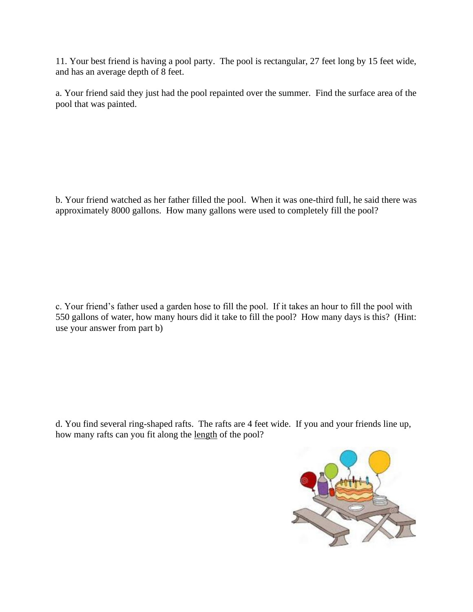11. Your best friend is having a pool party. The pool is rectangular, 27 feet long by 15 feet wide, and has an average depth of 8 feet.

a. Your friend said they just had the pool repainted over the summer. Find the surface area of the pool that was painted.

b. Your friend watched as her father filled the pool. When it was one-third full, he said there was approximately 8000 gallons. How many gallons were used to completely fill the pool?

c. Your friend's father used a garden hose to fill the pool. If it takes an hour to fill the pool with 550 gallons of water, how many hours did it take to fill the pool? How many days is this? (Hint: use your answer from part b)

d. You find several ring-shaped rafts. The rafts are 4 feet wide. If you and your friends line up, how many rafts can you fit along the length of the pool?